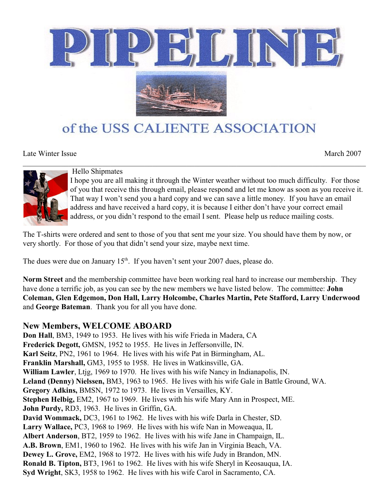

# of the USS CALIENTE ASSOCIATION

Late Winter Issue March 2007



Hello Shipmates

I hope you are all making it through the Winter weather without too much difficulty. For those of you that receive this through email, please respond and let me know as soon as you receive it. That way I won't send you a hard copy and we can save a little money. If you have an email address and have received a hard copy, it is because I either don't have your correct email address, or you didn't respond to the email I sent. Please help us reduce mailing costs.

The T-shirts were ordered and sent to those of you that sent me your size. You should have them by now, or very shortly. For those of you that didn't send your size, maybe next time.

The dues were due on January  $15<sup>th</sup>$ . If you haven't sent your 2007 dues, please do.

**Norm Street** and the membership committee have been working real hard to increase our membership. They have done a terrific job, as you can see by the new members we have listed below. The committee: **John Coleman, Glen Edgemon, Don Hall, Larry Holcombe, Charles Martin, Pete Stafford, Larry Underwood** and **George Bateman**. Thank you for all you have done.

## **New Members, WELCOME ABOARD**

**Don Hall**, BM3, 1949 to 1953. He lives with his wife Frieda in Madera, CA **Frederick Degott,** GMSN, 1952 to 1955. He lives in Jeffersonville, IN. **Karl Seitz**, PN2, 1961 to 1964. He lives with his wife Pat in Birmingham, AL. **Franklin Marshall,** GM3, 1955 to 1958. He lives in Watkinsville, GA. **William Lawler**, Ltjg, 1969 to 1970. He lives with his wife Nancy in Indianapolis, IN. **Leland (Denny) Nielssen,** BM3, 1963 to 1965. He lives with his wife Gale in Battle Ground, WA. **Gregory Adkins,** BMSN, 1972 to 1973. He lives in Versailles, KY. **Stephen Helbig,** EM2, 1967 to 1969. He lives with his wife Mary Ann in Prospect, ME. **John Purdy,** RD3, 1963. He lives in Griffin, GA. **David Wommack,** DC3, 1961 to 1962. He lives with his wife Darla in Chester, SD. **Larry Wallace,** PC3, 1968 to 1969. He lives with his wife Nan in Moweaqua, IL **Albert Anderson**, BT2, 1959 to 1962. He lives with his wife Jane in Champaign, IL. **A.B. Brown**, EM1, 1960 to 1962. He lives with his wife Jan in Virginia Beach, VA. **Dewey L. Grove,** EM2, 1968 to 1972. He lives with his wife Judy in Brandon, MN. **Ronald B. Tipton,** BT3, 1961 to 1962. He lives with his wife Sheryl in Keosauqua, IA. **Syd Wright**, SK3, 1958 to 1962. He lives with his wife Carol in Sacramento, CA.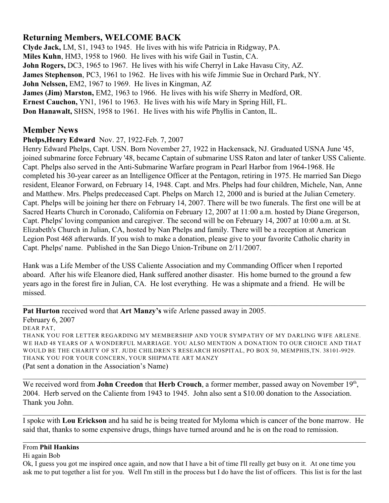## **Returning Members, WELCOME BACK**

**Clyde Jack,** LM, S1, 1943 to 1945. He lives with his wife Patricia in Ridgway, PA. **Miles Kuhn**, HM3, 1958 to 1960. He lives with his wife Gail in Tustin, CA. **John Rogers,** DC3, 1965 to 1967. He lives with his wife Cherryl in Lake Havasu City, AZ. **James Stephenson**, PC3, 1961 to 1962. He lives with his wife Jimmie Sue in Orchard Park, NY. **John Nelssen,** EM2, 1967 to 1969. He lives in Kingman, AZ **James (Jim) Marston,** EM2, 1963 to 1966. He lives with his wife Sherry in Medford, OR. **Ernest Cauchon,** YN1, 1961 to 1963. He lives with his wife Mary in Spring Hill, FL. **Don Hanawalt,** SHSN, 1958 to 1961. He lives with his wife Phyllis in Canton, IL.

## **Member News**

**Phelps,Henry Edward** Nov. 27, 1922-Feb. 7, 2007

Henry Edward Phelps, Capt. USN. Born November 27, 1922 in Hackensack, NJ. Graduated USNA June '45, joined submarine force February '48, became Captain of submarine USS Raton and later of tanker USS Caliente. Capt. Phelps also served in the Anti-Submarine Warfare program in Pearl Harbor from 1964-1968. He completed his 30-year career as an Intelligence Officer at the Pentagon, retiring in 1975. He married San Diego resident, Eleanor Forward, on February 14, 1948. Capt. and Mrs. Phelps had four children, Michele, Nan, Anne and Matthew. Mrs. Phelps predeceased Capt. Phelps on March 12, 2000 and is buried at the Julian Cemetery. Capt. Phelps will be joining her there on February 14, 2007. There will be two funerals. The first one will be at Sacred Hearts Church in Coronado, California on February 12, 2007 at 11:00 a.m. hosted by Diane Gregerson, Capt. Phelps' loving companion and caregiver. The second will be on February 14, 2007 at 10:00 a.m. at St. Elizabeth's Church in Julian, CA, hosted by Nan Phelps and family. There will be a reception at American Legion Post 468 afterwards. If you wish to make a donation, please give to your favorite Catholic charity in Capt. Phelps' name. Published in the San Diego Union-Tribune on 2/11/2007.

Hank was a Life Member of the USS Caliente Association and my Commanding Officer when I reported aboard. After his wife Eleanore died, Hank suffered another disaster. His home burned to the ground a few years ago in the forest fire in Julian, CA. He lost everything. He was a shipmate and a friend. He will be missed.

**Pat Hurton** received word that **Art Manzy's** wife Arlene passed away in 2005. February 6, 2007 DEAR PAT, THANK YOU FOR LETTER REGARDING MY MEMBERSHIP AND YOUR SYMPATHY OF MY DARLING WIFE ARLENE. WE HAD 48 YEARS OF A WONDERFUL MARRIAGE. YOU ALSO MENTION A DONATION TO OUR CHOICE AND THAT WOULD BE THE CHARITY OF ST. JUDE CHILDREN'S RESEARCH HOSPITAL, PO BOX 50, MEMPHIS, TN. 38101-9929. THANK YOU FOR YOUR CONCERN, YOUR SHIPMATE ART MANZY (Pat sent a donation in the Association's Name)

\_\_\_\_\_\_\_\_\_\_\_\_\_\_\_\_\_\_\_\_\_\_\_\_\_\_\_\_\_\_\_\_\_\_\_\_\_\_\_\_\_\_\_\_\_\_\_\_\_\_\_\_\_\_\_\_\_\_\_\_\_\_\_\_\_\_\_\_\_\_\_\_\_\_\_\_\_\_\_\_\_\_\_\_\_\_\_\_\_\_

We received word from **John Creedon** that Herb Crouch, a former member, passed away on November 19<sup>th</sup>, 2004. Herb served on the Caliente from 1943 to 1945. John also sent a \$10.00 donation to the Association. Thank you John.

\_\_\_\_\_\_\_\_\_\_\_\_\_\_\_\_\_\_\_\_\_\_\_\_\_\_\_\_\_\_\_\_\_\_\_\_\_\_\_\_\_\_\_\_\_\_\_\_\_\_\_\_\_\_\_\_\_\_\_\_\_\_\_\_\_\_\_\_\_\_\_\_\_\_\_\_\_\_\_\_\_\_\_\_\_\_\_\_\_\_

I spoke with **Lou Erickson** and ha said he is being treated for Myloma which is cancer of the bone marrow. He said that, thanks to some expensive drugs, things have turned around and he is on the road to remission.

\_\_\_\_\_\_\_\_\_\_\_\_\_\_\_\_\_\_\_\_\_\_\_\_\_\_\_\_\_\_\_\_\_\_\_\_\_\_\_\_\_\_\_\_\_\_\_\_\_\_\_\_\_\_\_\_\_\_\_\_\_\_\_\_\_\_\_\_\_\_\_\_\_\_\_\_\_\_\_\_\_\_\_\_\_\_\_\_\_\_

\_\_\_\_\_\_\_\_\_\_\_\_\_\_\_\_\_\_\_\_\_\_\_\_\_\_\_\_\_\_\_\_\_\_\_\_\_\_\_\_\_\_\_\_\_\_\_\_\_\_\_\_\_\_\_\_\_\_\_\_\_\_\_\_\_\_\_\_\_\_\_\_\_\_\_\_\_\_\_\_\_\_\_\_\_\_\_\_\_\_

#### From **Phil Hankins**

#### Hi again Bob

Ok, I guess you got me inspired once again, and now that I have a bit of time I'll really get busy on it. At one time you ask me to put together a list for you. Well I'm still in the process but I do have the list of officers. This list is for the last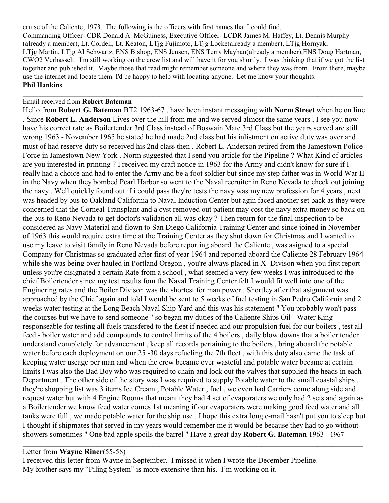cruise of the Caliente, 1973. The following is the officers with first names that I could find. Commanding Officer- CDR Donald A. McGuiness, Executive Officer- LCDR James M. Haffey, Lt. Dennis Murphy (already a member), Lt. Cordell, Lt. Keaton, LTjg Fujimoto, LTjg Locke(already a member), LTjg Hornyak, LTjg Martin, LTjg Al Schwartz, ENS Bishop, ENS Jensen, ENS Terry Mayhan(already a member),ENS Doug Hartman, CWO2 Verhasselt. I'm still working on the crew list and will have it for you shortly. I was thinking that if we got the list together and published it. Maybe those that read might remember someone and where they was from. From there, maybe use the internet and locate them. I'd be happy to help with locating anyone. Let me know your thoughts. **Phil Hankins**

 $\mathcal{L}_\text{max}$  and  $\mathcal{L}_\text{max}$  and  $\mathcal{L}_\text{max}$  and  $\mathcal{L}_\text{max}$  and  $\mathcal{L}_\text{max}$  and  $\mathcal{L}_\text{max}$ 

#### Email received from **Robert Bateman**

Hello from **Robert G. Bateman** BT2 1963-67 , have been instant messaging with **Norm Street** when he on line . Since **Robert L. Anderson** Lives over the hill from me and we served almost the same years , I see you now have his correct rate as Boilertender 3rd Class instead of Boswain Mate 3rd Class but the years served are still wrong 1963 - November 1965 he stated he had made 2nd class but his inlistment on active duty was over and must of had reserve duty so received his 2nd class then . Robert L. Anderson retired from the Jamestown Police Force in Jamestown New York . Norm suggested that I send you article for the Pipeline ? What Kind of articles are you interested in printing ? I received my draft notice in 1963 for the Army and didn't know for sure if I really had a choice and had to enter the Army and be a foot soldier but since my step father was in World War II in the Navy when they bombed Pearl Harbor so went to the Naval recruiter in Reno Nevada to check out joining the navy . Well quickly found out if i could pass they're tests the navy was my new profession for 4 years , next was headed by bus to Oakland California to Naval Induction Center but agin faced another set back as they were concerned that the Corneal Transplant and a cyst removed out patient may cost the navy extra money so back on the bus to Reno Nevada to get doctor's validation all was okay ? Then return for the final inspection to be considered as Navy Material and flown to San Diego California Training Center and since joined in November of 1963 this would require extra time at the Training Center as they shut down for Christmas and I wanted to use my leave to visit family in Reno Nevada before reporting aboard the Caliente , was asigned to a special Company for Christmas so graduated after first of year 1964 and reported aboard the Caliente 28 February 1964 while she was being over hauled in Portland Oregon, you're always placed in X- Divison when you first report unless you're disignated a certain Rate from a school , what seemed a very few weeks I was introduced to the chief Boilertender since my test results fom the Naval Training Center felt I would fit well into one of the Enginering rates and the Boiler Divison was the shortest for man power . Shortley after that asignment was approached by the Chief again and told I would be sent to 5 weeks of fuel testing in San Pedro California and 2 weeks water testing at the Long Beach Naval Ship Yard and this was his statement " You probably won't pass the courses but we have to send someone " so began my duties of the Caliente Ships Oil - Water King responseable for testing all fuels transfered to the fleet if needed and our propulsion fuel for our boilers , test all feed - boiler water and add compounds to control limits of the 4 boilers , daily blow downs that a boiler tender understand completely for advancement , keep all records pertaining to the boilers , bring aboard the potable water before each deployment on our 25 -30 days refueling the 7th fleet , with this duty also came the task of keeping water useage per man and when the crew became over wasteful and potable water became at certain limits I was also the Bad Boy who was required to chain and lock out the valves that supplied the heads in each Department . The other side of the story was I was required to supply Potable water to the small coastal ships , they're shopping list was 3 items Ice Cream , Potable Water , fuel , we even had Carriers come along side and request water but with 4 Engine Rooms that meant they had 4 set of evaporaters we only had 2 sets and again as a Boilertender we know feed water comes 1st meaning if our evaporaters were making good feed water and all tanks were full , we made potable water for the ship use . I hope this extra long e-mail hasn't put you to sleep but I thought if shipmates that served in my years would remember me it would be because they had to go without showers sometimes " One bad apple spoils the barrel " Have a great day **Robert G. Bateman** 1963 - 1967

#### Letter from **Wayne Riner**(55-58)

I received this letter from Wayne in September. I missed it when I wrote the December Pipeline. My brother says my "Piling System" is more extensive than his. I'm working on it.

 $\mathcal{L}_\text{max}$  and  $\mathcal{L}_\text{max}$  and  $\mathcal{L}_\text{max}$  and  $\mathcal{L}_\text{max}$  and  $\mathcal{L}_\text{max}$  and  $\mathcal{L}_\text{max}$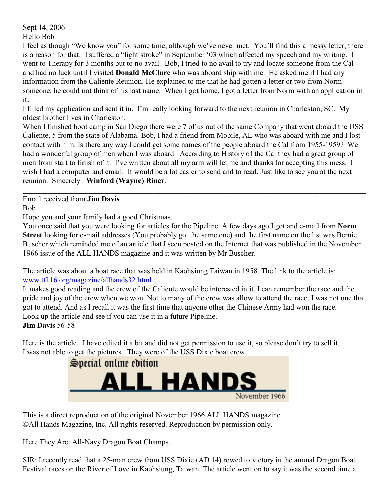Sept 14, 2006 Hello Bob

I feel as though "We know you" for some time, although we've never met. You'll find this a messy letter, there is a reason for that. I suffered a "light stroke" in September '03 which affected my speech and my writing. I went to Therapy for 3 months but to no avail. Bob, I tried to no avail to try and locate someone from the Cal and had no luck until I visited **Donald McClure** who was aboard ship with me. He asked me if I had any information from the Caliente Reunion. He explained to me that he had gotten a letter or two from Norm someone, he could not think of his last name. When I got home, I got a letter from Norm with an application in it.

I filled my application and sent it in. I'm really looking forward to the next reunion in Charleston, SC. My oldest brother lives in Charleston.

When I finished boot camp in San Diego there were 7 of us out of the same Company that went aboard the USS Caliente, 5 from the state of Alabama. Bob, I had a friend from Mobile, AL who was aboard with me and I lost contact with him. Is there any way I could get some names of the people aboard the Cal from 1955-1959? We had a wonderful group of men when I was aboard. According to History of the Cal they had a great group of men from start to finish of it. I've written about all my arm will let me and thanks for accepting this mess. I wish I had a computer and email. It would be a lot easier to send and to read. Just like to see you at the next reunion. Sincerely **Winford (Wayne) Riner**.

Email received from **Jim Davis**

Bob

Hope you and your family had a good Christmas.

You once said that you were looking for articles for the Pipeline. A few days ago I got and e-mail from **Norm Street** looking for e-mail addresses (You probably got the same one) and the first name on the list was Bernie Buscher which reminded me of an article that I seen posted on the Internet that was published in the November 1966 issue of the ALL HANDS magazine and it was written by Mr Buscher.

The article was about a boat race that was held in Kaohsiung Taiwan in 1958. The link to the article is: [www.tf116.org/magazine/allhands32.html](http://www.tf116.org/magazine/allhands32.html)

It makes good reading and the crew of the Caliente would be interested in it. I can remember the race and the pride and joy of the crew when we won. Not to many of the crew was allow to attend the race, I was not one that got to attend. And as I recall it was the first time that anyone other the Chinese Army had won the race. Look up the article and see if you can use it in a future Pipeline. **Jim Davis** 56-58

Here is the article. I have edited it a bit and did not get permission to use it, so please don't try to sell it. I was not able to get the pictures. They were of the USS Dixie boat crew.



This is a direct reproduction of the original November 1966 ALL HANDS magazine. ©All Hands Magazine, Inc. All rights reserved. Reproduction by permission only.

Here They Are: All-Navy Dragon Boat Champs.

SIR: I recently read that a 25-man crew from USS Dixie (AD 14) rowed to victory in the annual Dragon Boat Festival races on the River of Love in Kaohsiung, Taiwan. The article went on to say it was the second time a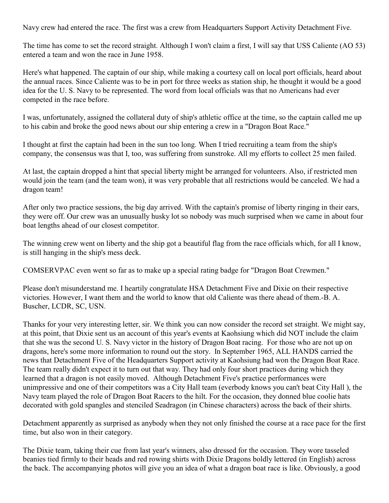Navy crew had entered the race. The first was a crew from Headquarters Support Activity Detachment Five.

The time has come to set the record straight. Although I won't claim a first, I will say that USS Caliente (AO 53) entered a team and won the race in June 1958.

Here's what happened. The captain of our ship, while making a courtesy call on local port officials, heard about the annual races. Since Caliente was to be in port for three weeks as station ship, he thought it would be a good idea for the U. S. Navy to be represented. The word from local officials was that no Americans had ever competed in the race before.

I was, unfortunately, assigned the collateral duty of ship's athletic office at the time, so the captain called me up to his cabin and broke the good news about our ship entering a crew in a "Dragon Boat Race."

I thought at first the captain had been in the sun too long. When I tried recruiting a team from the ship's company, the consensus was that I, too, was suffering from sunstroke. All my efforts to collect 25 men failed.

At last, the captain dropped a hint that special liberty might be arranged for volunteers. Also, if restricted men would join the team (and the team won), it was very probable that all restrictions would be canceled. We had a dragon team!

After only two practice sessions, the big day arrived. With the captain's promise of liberty ringing in their ears, they were off. Our crew was an unusually husky lot so nobody was much surprised when we came in about four boat lengths ahead of our closest competitor.

The winning crew went on liberty and the ship got a beautiful flag from the race officials which, for all I know, is still hanging in the ship's mess deck.

COMSERVPAC even went so far as to make up a special rating badge for "Dragon Boat Crewmen."

Please don't misunderstand me. I heartily congratulate HSA Detachment Five and Dixie on their respective victories. However, I want them and the world to know that old Caliente was there ahead of them.-B. A. Buscher, LCDR, SC, USN.

Thanks for your very interesting letter, sir. We think you can now consider the record set straight. We might say, at this point, that Dixie sent us an account of this year's events at Kaohsiung which did NOT include the claim that she was the second U. S. Navy victor in the history of Dragon Boat racing. For those who are not up on dragons, here's some more information to round out the story. In September 1965, ALL HANDS carried the news that Detachment Five of the Headquarters Support activity at Kaohsiung had won the Dragon Boat Race. The team really didn't expect it to turn out that way. They had only four short practices during which they learned that a dragon is not easily moved. Although Detachment Five's practice performances were unimpressive and one of their competitors was a City Hall team (everbody knows you can't beat City Hall ), the Navy team played the role of Dragon Boat Racers to the hilt. For the occasion, they donned blue coolie hats decorated with gold spangles and stenciled Seadragon (in Chinese characters) across the back of their shirts.

Detachment apparently as surprised as anybody when they not only finished the course at a race pace for the first time, but also won in their category.

The Dixie team, taking their cue from last year's winners, also dressed for the occasion. They wore tasseled beanies tied firmly to their heads and red rowing shirts with Dixie Dragons boldly lettered (in English) across the back. The accompanying photos will give you an idea of what a dragon boat race is like. Obviously, a good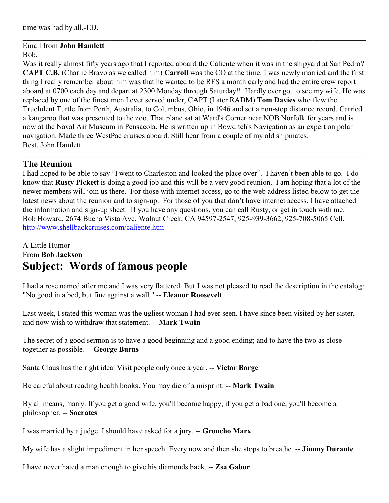## Email from **John Hamlett**

### Bob,

Was it really almost fifty years ago that I reported aboard the Caliente when it was in the shipyard at San Pedro? **CAPT C.B.** (Charlie Bravo as we called him) **Carroll** was the CO at the time. I was newly married and the first thing I really remember about him was that he wanted to be RFS a month early and had the entire crew report aboard at 0700 each day and depart at 2300 Monday through Saturday!!. Hardly ever got to see my wife. He was replaced by one of the finest men I ever served under, CAPT (Later RADM) **Tom Davies** who flew the Truclulent Turtle from Perth, Australia, to Columbus, Ohio, in 1946 and set a non-stop distance record. Carried a kangaroo that was presented to the zoo. That plane sat at Ward's Corner near NOB Norfolk for years and is now at the Naval Air Museum in Pensacola. He is written up in Bowditch's Navigation as an expert on polar navigation. Made three WestPac cruises aboard. Still hear from a couple of my old shipmates. Best, John Hamlett

\_\_\_\_\_\_\_\_\_\_\_\_\_\_\_\_\_\_\_\_\_\_\_\_\_\_\_\_\_\_\_\_\_\_\_\_\_\_\_\_\_\_\_\_\_\_\_\_\_\_\_\_\_\_\_\_\_\_\_\_\_\_\_\_\_\_\_\_\_\_\_\_\_\_\_\_\_\_\_\_\_\_\_\_\_\_\_\_\_\_

\_\_\_\_\_\_\_\_\_\_\_\_\_\_\_\_\_\_\_\_\_\_\_\_\_\_\_\_\_\_\_\_\_\_\_\_\_\_\_\_\_\_\_\_\_\_\_\_\_\_\_\_\_\_\_\_\_\_\_\_\_\_\_\_\_\_\_\_\_\_\_\_\_\_\_\_\_\_\_\_\_\_\_\_\_\_\_\_\_\_

## **The Reunion**

I had hoped to be able to say "I went to Charleston and looked the place over". I haven't been able to go. I do know that **Rusty Pickett** is doing a good job and this will be a very good reunion. I am hoping that a lot of the newer members will join us there. For those with internet access, go to the web address listed below to get the latest news about the reunion and to sign-up. For those of you that don't have internet access, I have attached the information and sign-up sheet. If you have any questions, you can call Rusty, or get in touch with me. Bob Howard, 2674 Buena Vista Ave, Walnut Creek, CA 94597-2547, 925-939-3662, 925-708-5065 Cell. <http://www.shellbackcruises.com/caliente.htm>

\_\_\_\_\_\_\_\_\_\_\_\_\_\_\_\_\_\_\_\_\_\_\_\_\_\_\_\_\_\_\_\_\_\_\_\_\_\_\_\_\_\_\_\_\_\_\_\_\_\_\_\_\_\_\_\_\_\_\_\_\_\_\_\_\_\_\_\_\_\_\_\_\_\_\_\_\_\_\_\_\_\_\_\_\_\_\_\_\_\_

## A Little Humor From **Bob Jackson Subject: Words of famous people**

I had a rose named after me and I was very flattered. But I was not pleased to read the description in the catalog: "No good in a bed, but fine against a wall." -- **Eleanor Roosevelt**

Last week, I stated this woman was the ugliest woman I had ever seen. I have since been visited by her sister, and now wish to withdraw that statement. -- **Mark Twain**

The secret of a good sermon is to have a good beginning and a good ending; and to have the two as close together as possible. -- **George Burns** 

Santa Claus has the right idea. Visit people only once a year. -- **Victor Borge** 

Be careful about reading health books. You may die of a misprint. -- **Mark Twain**

By all means, marry. If you get a good wife, you'll become happy; if you get a bad one, you'll become a philosopher. -- **Socrates**

I was married by a judge. I should have asked for a jury. -- **Groucho Marx**

My wife has a slight impediment in her speech. Every now and then she stops to breathe. -- **Jimmy Durante**

I have never hated a man enough to give his diamonds back. -- **Zsa Gabor**